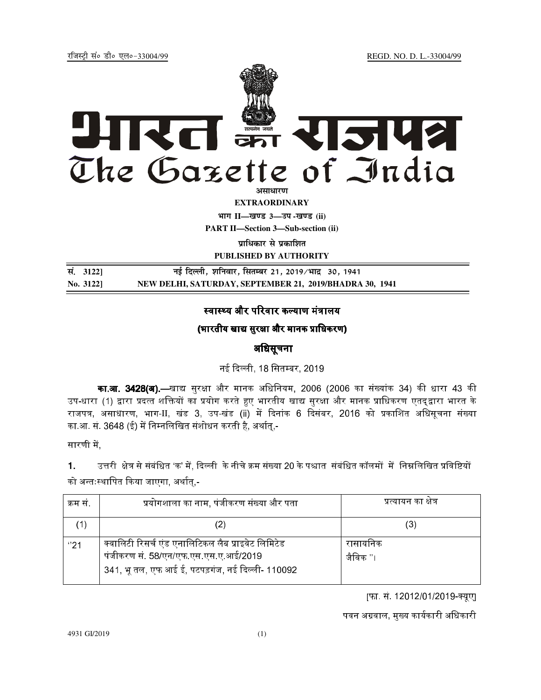jftLVªh laö Mhö ,yö&33004@99 REGD. NO. D. L.-33004/99



**EXTRAORDINARY**

**Hkkx II—[k.M 3—mi -[k.M (ii)**

**PART II—Section 3—Sub-section (ii)** 

*u***itakut से प्रकाशित** 

**PUBLISHED BY AUTHORITY**

**la- 3122] ubZ fnYyh] 'kfuokj] flrEcj 21] 2019@Hkkn z 30] 1941 No. 3122] NEW DELHI, SATURDAY, SEPTEMBER 21, 2019/BHADRA 30, 1941** 

# स्वास्थ्य और परिवार कल्याण मंत्रालय

# (भारतीय खाद्य सरक्षा और मानक प्राधिकरण)

## अधिसूचना

नई दिल्ली, 18 सितम्बर, 2019.

**का.आ. 3428(अ).—**खाद्य सुरक्षा और मानक अधिनियम, 2006 (2006 का संख्यांक 34) की धारा 43 की उप-धारा (1) द्वारा प्रदत्त शक्तियों का प्रयोग करते हुए भारतीय खाद्य सरक्षा और मानक प्राधिकरण एतदद्वारा भारत के राजपत्र, असाधारण, भाग-II, खंड 3, उप-खंड (ii) में दिनांक 6 दिसंबर, 2016 को प्रकाशित अधिसूचना संख्या का.आ. सं. 3648 (ई) में निम्नलिखित संशोधन करती है. अर्थात.-

सारणी में.

1. उत्तरी क्षेत्र से संबंधित 'क' में, दिल्ली के नीचे क्रम संख्या 20 के पश्चात संबंधित कॉलमों में निम्नलिखित प्रविष्टियों

को अन्तःस्थापित किया जाएगा, अर्थात्,-

| क्रम स | प्रयोगशाला का नाम, पंजीकरण संख्या और पता                                                                                                       | प्रत्यायन का क्षेत्र  |
|--------|------------------------------------------------------------------------------------------------------------------------------------------------|-----------------------|
| '1)    | (2)                                                                                                                                            | (3)                   |
| "21    | क्वालिटी रिसर्च एंड एनालिटिकल लैब प्राइवेट लिमिटेड<br>पंजीकरण सं. 58/एन/एफ एस एस ए आई/2019<br>341, भू तल, एफ आई ई, पटपड़गंज, नई दिल्ली- 110092 | रासायनिक<br>जैविक ''। |

[फा. सं. 12012/01/2019-क्यूए]

पवन अग्रवाल, मुख्य कार्यकारी अधिकारी

4931 GI/2019 (1)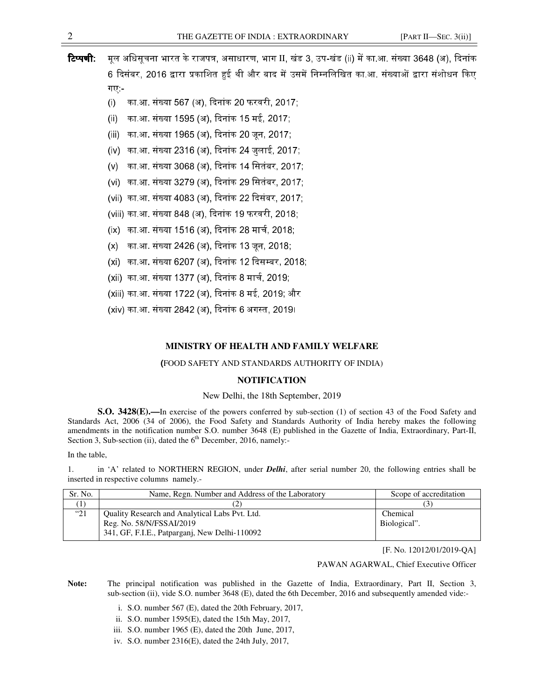- 
- **टिप्पणी**: मूल अधिसूचना भारत के राजपत्र, असाधारण, भाग II, खंड 3, उप-खंड (ii) में का.आ. संख्या 3648 (अ), दिनांक 6 दिसंबर. 2016 द्वारा प्रकाशित हई थी और बाद में उसमें निम्नलिखित का.आ. संख्याओं द्वारा संशोधन किए गए:-
	- (i) का आ, संख्या 567 (अ), दिनांक 20 फरवरी, 2017;
	- (ii) का आ, संख्या 1595 (अ), दिनांक 15 मई, 2017;
	- (iii) का आ संख्या 1965 (अ), दिनांक 20 जन, 2017;
	- (iv) का आ, संख्या 2316 (अ), दिनांक 24 जलाई, 2017; .
	- (v) का आ, संख्या 3068 (अ), दिनांक 14 सितंबर, 2017;
	- (vi) का.आ. संख्या 3279 (अ), दिनांक 29 सितंबर, 2017;
	- (vii) का आ, संख्या 4083 (अ), दिनांक 22 दिसंबर, 2017;
	- (viii) का आ, संख्या 848 (अ), दिनांक 19 फरवरी, 2018;
	- (ix) का आ, संख्या 1516 (अ), दिनांक 28 मार्च, 2018;
	- (x) का.आ. संख्या 2426 (अ), दिनांक 13 जन, 2018;
	- (xi) का.आ. संख्या 6207 (अ), दिनांक 12 दिसम्बर, 2018;
	- (xii) का आ, संख्या 1377 (अ), दिनांक 8 मार्च, 2019;
	- (xiii) का आ, संख्या 1722 (अ), दिनांक 8 मई, 2019; और
	- (xiv) का आ, संख्या 2842 (अ), दिनांक 6 अगस्त, 2019।

### **MINISTRY OF HEALTH AND FAMILY WELFARE**

#### (FOOD SAFETY AND STANDARDS AUTHORITY OF INDIA)

### **NOTIFICATION**

#### New Delhi, the 18th September, 2019

**S.O. 3428(E).**—In exercise of the powers conferred by sub-section (1) of section 43 of the Food Safety and Standards Act, 2006 (34 of 2006), the Food Safety and Standards Authority of India hereby makes the following amendments in the notification number S.O. number 3648 (E) published in the Gazette of India, Extraordinary, Part-II, Section 3, Sub-section (ii), dated the  $6<sup>th</sup>$  December, 2016, namely:-

In the table,

1. in 'A' related to NORTHERN REGION, under *Delhi*, after serial number 20, the following entries shall be inserted in respective columns namely.-

| Sr. No.      | Name, Regn. Number and Address of the Laboratory | Scope of accreditation |
|--------------|--------------------------------------------------|------------------------|
|              |                                                  |                        |
| $^{\circ}21$ | Quality Research and Analytical Labs Pvt. Ltd.   | Chemical               |
|              | Reg. No. 58/N/FSSAI/2019                         | Biological".           |
|              | 341, GF, F.I.E., Patparganj, New Delhi-110092    |                        |

[F. No. 12012/01/2019-QA]

### PAWAN AGARWAL, Chief Executive Officer

Note: The principal notification was published in the Gazette of India, Extraordinary, Part II, Section 3, sub-section (ii), vide S.O. number 3648 (E), dated the 6th December, 2016 and subsequently amended vide:-

- i. S.O. number 567 (E), dated the 20th February, 2017,
- ii. S.O. number 1595(E), dated the 15th May, 2017,
- iii. S.O. number 1965 (E), dated the 20th June, 2017,
- iv. S.O. number 2316(E), dated the 24th July, 2017,